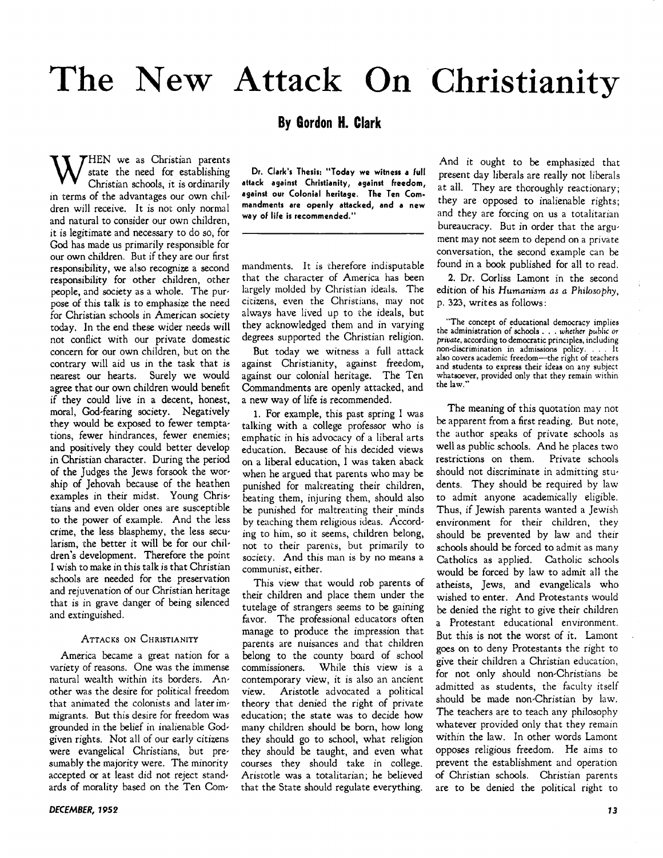# **The New Attack** On Christianity

### **8y Gordon H. Clark**

W state the need for establishing<br>Christian schools, it is ordinarily state the need for establishing Christian schools, it is ordinarily in terms of the advantages our own children will receive. It is not only normal and natural to consider our own children, it is legitimate and necessary to do so, for God has made us primarily responsible for our own children. But if they are our first responsibility, we also recognize a second responsibility for other children, other people, and society as a whole. The purpose of this talk is to emphasize the need for Christian schools in American society today. In the end these wider needs will not conflict with our private domestic concern for our own children, but on the contrary will aid us in the task that is nearest our hearts. Surely we would agree that our own children would benefit if they could live in a decent, honest, moral, God-fearing society. Negatively they would be exposed to fewer temptations, fewer hindrances, fewer enemies; and positively they could better develop in Christian character. During the period of the Judges the Jews forsook the worship of Jehovah because of the heathen examples in their midst. Young Christians and even older ones are susceptible to the power of example. And the less crime, the less blasphemy, the less secularism, the better it will be for our children's development. Therefore the point I wish to make in this talk is that Christian schools are needed for the preservation and rejuvenation of our Christian heritage that is in grave danger of being silenced and extinguished.

#### ATTACKS ON CHRISTIANITY

America became a great nation for a variety of reasons. One was the immense natural wealth within its borders. Another was the desire for political freedom that animated the colonists and later immigrants. But this desire for freedom was grounded in the belief in inalienable Godgiven rights. Not all of our early citizens were evangelical Christians, but presumably the majority were. The minority accepted or at least did not reject standards of morality based on the Ten Com-

Dr. Clark's Thesis: "Today we witness a full attack against Christianity, against freedom, against our Colonial heritage. The Ten Commandments are openly attacked, and a new way of life is recommended."

mandments. It is therefore indisputable that the character of America has been largely molded by Christian ideals. The citizens, even the Christians, may not always have lived up to the ideals, but they acknowledged them and in varying degrees supported the Christian religion.

But today we witness a full attack against Christianity, against freedom, against our colonial heritage. The Ten Commandments are openly attacked, and a new way of life is recommended.

1. For example, this past spring I was talking with a college professor who is emphatic in his advocacy of a liberal arts education. Because of his decided views on a liberal education, I was taken aback when he argued that parents who may be punished for maltreating their children, beating them, injuring them, should also be punished for maltreating their minds by teaching them religious ideas. According to him, so it seems, children belong, not to their parents, but primarily to society. And this man is by no means a communist, either.

This view that would rob parents of their children and place them under the tutelage of strangers seems to be gaining favor. The professional educators often manage to produce the impression that parents are nuisances and that children belong to the county board of school commissioners. While this view is a contemporary view, it is also an ancient view. Aristotle advocated a political theory that denied the right of private education; the state was to decide how many children should be born, how long they should go to school, what religion they should be taught, and even what courses they should take in college. Aristotle was a totalitarian; he believed that the State should regulate everything.

And it ought to be emphasized that present day liberals are really not liberals at all. They are thoroughly reactionary; they are opposed to inalienable rights; and they are forcing on us a totalitarian bureaucracy. But in order that the argument may not seem to depend on a private conversation, the second example can be found in a book published for all to read.

2. Dr. Corliss Lamont in the second edition of his *Humanism as a Philosophy,*  p. 323, writes as follows:

"The concept of educational democracy implies the administration of schools . . . whether *public* or private, according to democratic principles, including non-discrimination in admissions policy. . . . It also covers academic freedom-the right of teachers and students to express their ideas on any subject whatsoever, provided only that they remain within the law."

The meaning of this quotation may not be apparent from a first reading. But note, the author speaks of private schools as well as public schools. And he places two restrictions on them. Private schools should not discriminate in admitting students. They should be required by law to admit anyone academically eligible. Thus, if Jewish parents wanted a Jewish environment for their children, they should be prevented by law and their schools should be forced to admit as many Catholics as applied. Catholic schools would be forced by law to admit all the atheists, Jews, and evangelicals who wished to enter. And Protestants would be denied the right to give their children a Protestant educational environment. But this is not the worst of it. Lamont goes on to deny Protestants the right to give their children a Christian education, for not only should non-Christians be admitted as students, the faculty itself should be made non-Christian by law. The teachers are to teach any philosophy whatever provided only that they remain within the law. In other words Lamont opposes religious freedom. He aims to prevent the establishment and operation of Christian schools. Christian parents are to be denied the political right to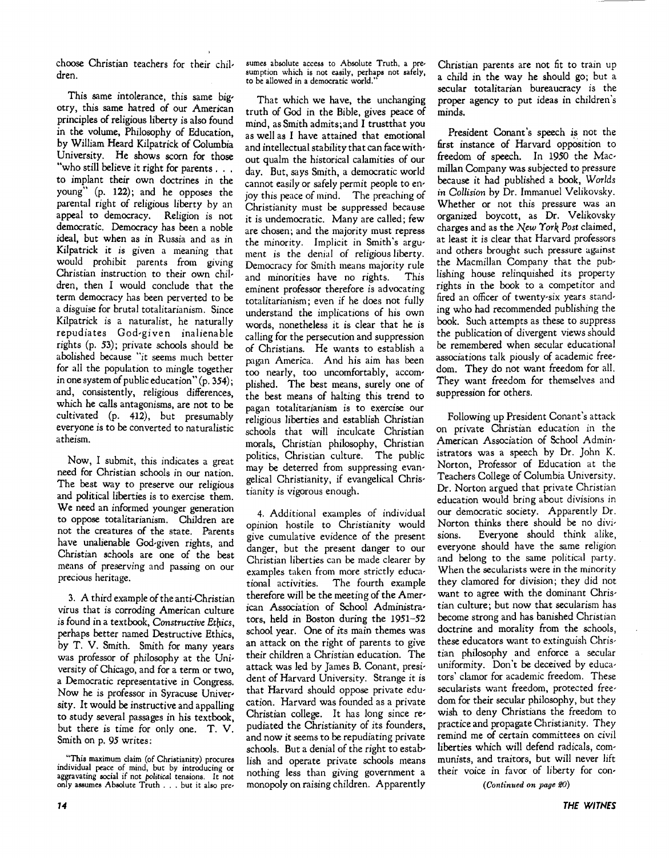choose Christian teachers for their chil, dren.

This same intolerance, this same bigotry, this same hatred of our American principles of religious liberty is also found in the volume, Philosophy of Education by William Heard Kilpatrick of Columbia University. He shows scorn for those "who still believe it right for parents. . . to implant their own doctrines in the young" (p. 122); and he opposes the parental right of religious liberty by an appeal to democracy. Religion is not democratic. Democracy has been a noble ideal, but when as in Russia and as in Kilpatrick it is given a meaning that would prohibit parents from giving Christian instruction to their own chil, dren, then I would conclude that the term democracy has been perverted to be a disguise for brutal totalitarianism. Since Kilpatrick is a naturalist, he naturally repudiates God'given inalienable rights (p. 53); private schools should be abolished because "it seems much better for all the population to mingle together in one system of public education"  $(p. 354)$ ; and, consistently, religious differences which he calls antagonisms, are not to be cultivated (p. 412), but presumably everyone is to be converted to naturalistic atheism.

Now, I submit, this indicates a great need for Christian schools in our nation. The best way to preserve our religious and political liberties is to exercise them. We need an informed younger generation to oppose totalitarianism. Children are not the creatures of the state. Parents have unalienable God-given rights, and Christian schools are one of the best means of preserving and passing on our precious heritage.

3. A third example of the anti-Christian virus that is corroding American culture is found in a textbook, Constructive Ethics, perhaps better named Destructive Ethics by T. V. Smith. Smith for many years was professor of philosophy at the University of Chicago, and for a term or two a Democratic representative in Congress: Now he is professor in Syracuse University. It would be instructive and appalling to study several passages in his textbook, but there is time for only one. T. V. Smith on p. 95 writes:

**74** 

sumes absolute access to Absolute Truth, a presumption which is not easily, perhaps not safely, to be allowed in a democratic world."

That which we have, the unchanging truth of God in the Bible, gives peace of mind, as Smith admits;and I trustthat you as well as I have attained that emotional and intellectual stability that can face without qualm the historical calamities of our day. But, says Smith, a democratic world cannot easily or safely permit people to enjoy this peace of mind. The preaching of Christianity must be suppressed because it is undemocratic. Many are called; few are chosen; and the majority must repress the minority. Implicit in Smith's argument is the denial of religious liberty. Democracy for Smith means majority rule and minorities have no rights. This eminent professor therefore is advocating totalitarianism; even if he does not fully understand the implications of his own words, nonetheless it is clear that he is calling for the persecution and suppression of Christians. He wants to establish a pagan America. And his aim has been too nearly, too uncomfortably, accom' plished. The best means, surely one of the best means of halting this trend to pagan totalitarianism is to exercise our religious liberties and establish Christian schools that will inculcate Christian morals, Christian philosophy, Christian politics, Christian culture. The public may be deterred from suppressing evan' gelical Christianity, if evangelical Christianity is vigorous enough.

4. Additional examples of individual opinion hostile to Christianity would give cumulative evidence of the present danger, but the present danger to our Christian liberties can be made clearer by examples taken from more strictly educational activities. The fourth example therefore will be the meeting of the American Association of School Administra' tors, held in Boston during the 1951-52 school year. One of its main themes was an attack on the right of parents to give their children a Christian education. The attack was led by James B. Conant, president of Harvard University. Strange it is that Harvard should oppose private edu' cation. Harvard was founded as a private Christian college. It has long since re' pudiated the Christianity of its founders, and now it seems to be repudiating private schools. But a denial of the right to establish and operate private schools means nothing less than giving government a monopoly on raising children. Apparently

Christian parents are not fit to train up a child in the way he should go; but a secular totalitarian bureaucracy is the proper agency to put ideas in children's minds.

President Conant's speech *is* not the first instance of Harvard opposition to freedom of speech. In 1950 the Macmillan Company was subjected to pressure because it had published a book, *Worlds in Collision* by Dr. Immanuel Velikovsky. Whether or not this pressure was an organized boycott, as Dr. Velikovsky charges and as the *New York Post claimed*, at least it is clear that Harvard professors and others brought such pressure against the Macmillan Company that the publishing house relinquished its property rights in the book to a competitor and fired an officer of twenty-six years standing who had recommended publishing the book. Such attempts as these to suppress the publication of divergent views should be remembered when secular educational associations talk piously of academic freedom. They do not want freedom for all. They want freedom for themselves and suppression for others.

Following up President Conant's attack on private Christian education in the American Association of School Administrators was a speech by Dr. John K. Norton, Professor of Education at the Teachers College of Columbia University. Dr. Norton argued that private Christian education would bring about divisions in our democratic society. Apparently Dr. Norton thinks there should be no divisions. Everyone should think alike, everyone should have the same religion and belong to the same political party. When the secularists were in the minority they clamored for division; they did not want to agree with the dominant Christian culture; but now that secularism has become strong and has banished Christian doctrine and morality from the schools, these educators want to extinguish Christian philosophy and enforce a secular uniformity. Don't be deceived by educators' clamor for academic freedom. These secularists want freedom, protected freedom for their secular philosophy, but they wish to deny Christians the freedom to practice and propagate Christianity. They remind me of certain committees on civil liberties which will defend radicals, communists, and traitors, but will never lift their voice in favor of liberty for con-

*(Continued on page 20)* 

<sup>&</sup>quot;This maximum claim (of Christianity) procures indiVidual peac~ of mind, but by introducing or aggra vatlng SOCial If not *political* tensions. I t not only assumes Absolute Truth ... but it also pre-